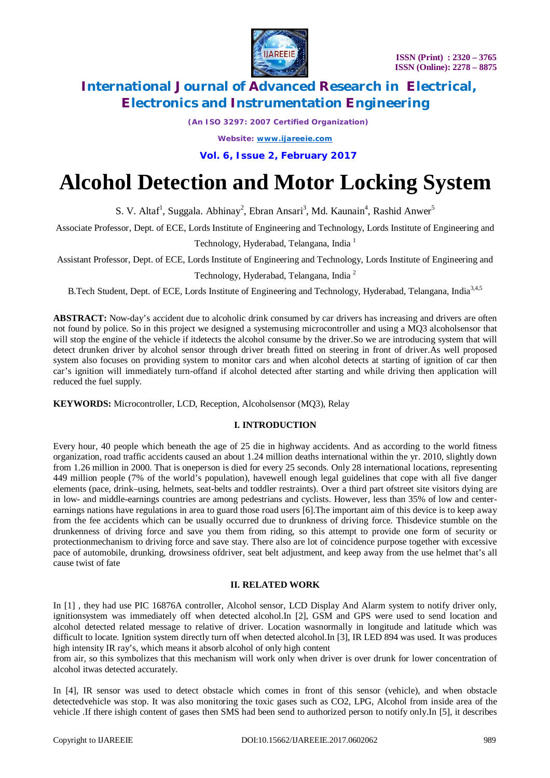

*(An ISO 3297: 2007 Certified Organization)*

*Website: [www.ijareeie.com](http://www.ijareeie.com)*

**Vol. 6, Issue 2, February 2017**

# **Alcohol Detection and Motor Locking System**

S. V. Altaf<sup>1</sup>, Suggala. Abhinay<sup>2</sup>, Ebran Ansari<sup>3</sup>, Md. Kaunain<sup>4</sup>, Rashid Anwer<sup>5</sup>

Associate Professor, Dept. of ECE, Lords Institute of Engineering and Technology, Lords Institute of Engineering and

Technology, Hyderabad, Telangana, India <sup>1</sup>

Assistant Professor, Dept. of ECE, Lords Institute of Engineering and Technology, Lords Institute of Engineering and

Technology, Hyderabad, Telangana, India <sup>2</sup>

B.Tech Student, Dept. of ECE, Lords Institute of Engineering and Technology, Hyderabad, Telangana, India<sup>3,4,5</sup>

**ABSTRACT:** Now-day's accident due to alcoholic drink consumed by car drivers has increasing and drivers are often not found by police. So in this project we designed a systemusing microcontroller and using a MQ3 alcoholsensor that will stop the engine of the vehicle if itdetects the alcohol consume by the driver. So we are introducing system that will detect drunken driver by alcohol sensor through driver breath fitted on steering in front of driver.As well proposed system also focuses on providing system to monitor cars and when alcohol detects at starting of ignition of car then car's ignition will immediately turn-offand if alcohol detected after starting and while driving then application will reduced the fuel supply.

**KEYWORDS:** Microcontroller, LCD, Reception, Alcoholsensor (MQ3), Relay

### **I. INTRODUCTION**

Every hour, 40 people which beneath the age of 25 die in highway accidents. And as according to the world fitness organization, road traffic accidents caused an about 1.24 million deaths international within the yr. 2010, slightly down from 1.26 million in 2000. That is oneperson is died for every 25 seconds. Only 28 international locations, representing 449 million people (7% of the world's population), havewell enough legal guidelines that cope with all five danger elements (pace, drink–using, helmets, seat-belts and toddler restraints). Over a third part ofstreet site visitors dying are in low- and middle-earnings countries are among pedestrians and cyclists. However, less than 35% of low and centerearnings nations have regulations in area to guard those road users [6].The important aim of this device is to keep away from the fee accidents which can be usually occurred due to drunkness of driving force. Thisdevice stumble on the drunkenness of driving force and save you them from riding, so this attempt to provide one form of security or protectionmechanism to driving force and save stay. There also are lot of coincidence purpose together with excessive pace of automobile, drunking, drowsiness ofdriver, seat belt adjustment, and keep away from the use helmet that's all cause twist of fate

#### **II. RELATED WORK**

In [1], they had use PIC 16876A controller, Alcohol sensor, LCD Display And Alarm system to notify driver only, ignitionsystem was immediately off when detected alcohol.In [2], GSM and GPS were used to send location and alcohol detected related message to relative of driver. Location wasnormally in longitude and latitude which was difficult to locate. Ignition system directly turn off when detected alcohol.In [3], IR LED 894 was used. It was produces high intensity IR ray's, which means it absorb alcohol of only high content

from air, so this symbolizes that this mechanism will work only when driver is over drunk for lower concentration of alcohol itwas detected accurately.

In [4], IR sensor was used to detect obstacle which comes in front of this sensor (vehicle), and when obstacle detectedvehicle was stop. It was also monitoring the toxic gases such as CO2, LPG, Alcohol from inside area of the vehicle .If there ishigh content of gases then SMS had been send to authorized person to notify only.In [5], it describes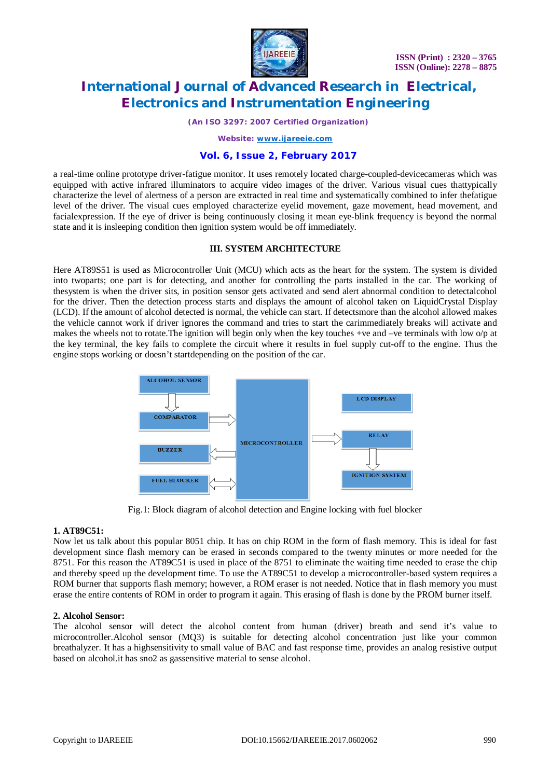

*(An ISO 3297: 2007 Certified Organization)*

*Website: [www.ijareeie.com](http://www.ijareeie.com)*

### **Vol. 6, Issue 2, February 2017**

a real-time online prototype driver-fatigue monitor. It uses remotely located charge-coupled-devicecameras which was equipped with active infrared illuminators to acquire video images of the driver. Various visual cues thattypically characterize the level of alertness of a person are extracted in real time and systematically combined to infer thefatigue level of the driver. The visual cues employed characterize eyelid movement, gaze movement, head movement, and facialexpression. If the eye of driver is being continuously closing it mean eye-blink frequency is beyond the normal state and it is insleeping condition then ignition system would be off immediately.

#### **III. SYSTEM ARCHITECTURE**

Here AT89S51 is used as Microcontroller Unit (MCU) which acts as the heart for the system. The system is divided into twoparts; one part is for detecting, and another for controlling the parts installed in the car. The working of thesystem is when the driver sits, in position sensor gets activated and send alert abnormal condition to detectalcohol for the driver. Then the detection process starts and displays the amount of alcohol taken on LiquidCrystal Display (LCD). If the amount of alcohol detected is normal, the vehicle can start. If detectsmore than the alcohol allowed makes the vehicle cannot work if driver ignores the command and tries to start the carimmediately breaks will activate and makes the wheels not to rotate. The ignition will begin only when the key touches +ve and -ve terminals with low o/p at the key terminal, the key fails to complete the circuit where it results in fuel supply cut-off to the engine. Thus the engine stops working or doesn't startdepending on the position of the car.



Fig.1: Block diagram of alcohol detection and Engine locking with fuel blocker

#### **1. AT89C51:**

Now let us talk about this popular 8051 chip. It has on chip ROM in the form of flash memory. This is ideal for fast development since flash memory can be erased in seconds compared to the twenty minutes or more needed for the 8751. For this reason the AT89C51 is used in place of the 8751 to eliminate the waiting time needed to erase the chip and thereby speed up the development time. To use the AT89C51 to develop a microcontroller-based system requires a ROM burner that supports flash memory; however, a ROM eraser is not needed. Notice that in flash memory you must erase the entire contents of ROM in order to program it again. This erasing of flash is done by the PROM burner itself.

#### **2. Alcohol Sensor:**

The alcohol sensor will detect the alcohol content from human (driver) breath and send it's value to microcontroller.Alcohol sensor (MQ3) is suitable for detecting alcohol concentration just like your common breathalyzer. It has a highsensitivity to small value of BAC and fast response time, provides an analog resistive output based on alcohol.it has sno2 as gassensitive material to sense alcohol.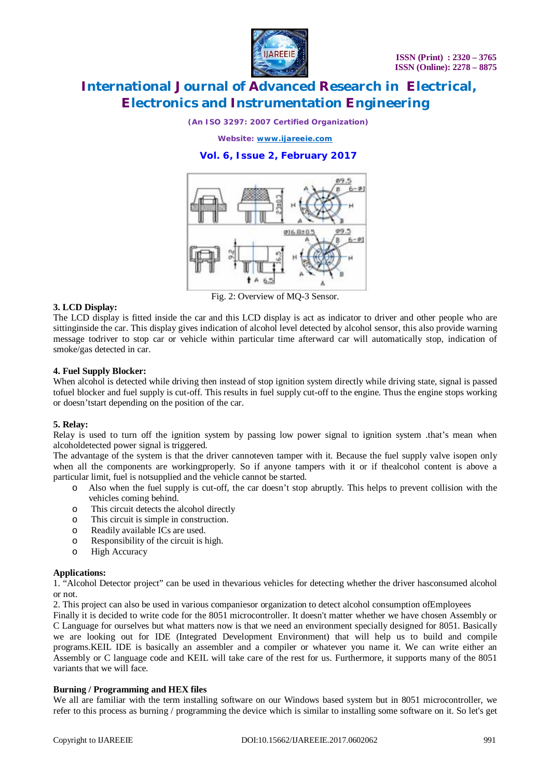

*(An ISO 3297: 2007 Certified Organization)*

*Website: [www.ijareeie.com](http://www.ijareeie.com)*

### **Vol. 6, Issue 2, February 2017**



Fig. 2: Overview of MQ-3 Sensor.

#### **3. LCD Display:**

The LCD display is fitted inside the car and this LCD display is act as indicator to driver and other people who are sittinginside the car. This display gives indication of alcohol level detected by alcohol sensor, this also provide warning message todriver to stop car or vehicle within particular time afterward car will automatically stop, indication of smoke/gas detected in car.

#### **4. Fuel Supply Blocker:**

When alcohol is detected while driving then instead of stop ignition system directly while driving state, signal is passed tofuel blocker and fuel supply is cut-off. This results in fuel supply cut-off to the engine. Thus the engine stops working or doesn'tstart depending on the position of the car.

#### **5. Relay:**

Relay is used to turn off the ignition system by passing low power signal to ignition system .that's mean when alcoholdetected power signal is triggered.

The advantage of the system is that the driver cannoteven tamper with it. Because the fuel supply valve isopen only when all the components are workingproperly. So if anyone tampers with it or if thealcohol content is above a particular limit, fuel is notsupplied and the vehicle cannot be started.

- o Also when the fuel supply is cut-off, the car doesn't stop abruptly. This helps to prevent collision with the vehicles coming behind.
- o This circuit detects the alcohol directly
- o This circuit is simple in construction.
- o Readily available ICs are used.
- o Responsibility of the circuit is high.
- o High Accuracy

#### **Applications:**

1. "Alcohol Detector project" can be used in thevarious vehicles for detecting whether the driver hasconsumed alcohol or not.

2. This project can also be used in various companiesor organization to detect alcohol consumption ofEmployees

Finally it is decided to write code for the 8051 microcontroller. It doesn't matter whether we have chosen Assembly or C Language for ourselves but what matters now is that we need an environment specially designed for 8051. Basically we are looking out for IDE (Integrated Development Environment) that will help us to build and compile programs.KEIL IDE is basically an assembler and a compiler or whatever you name it. We can write either an Assembly or C language code and KEIL will take care of the rest for us. Furthermore, it supports many of the 8051 variants that we will face.

#### **Burning / Programming and HEX files**

We all are familiar with the term installing software on our Windows based system but in 8051 microcontroller, we refer to this process as burning / programming the device which is similar to installing some software on it. So let's get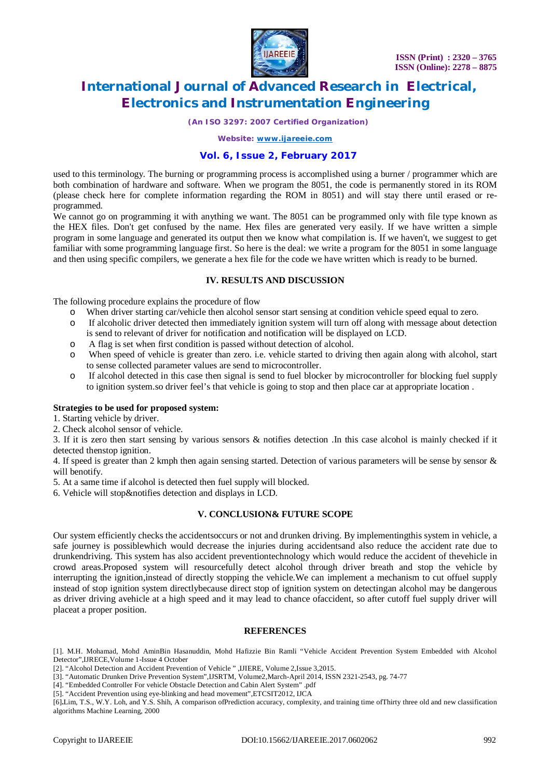

*(An ISO 3297: 2007 Certified Organization)*

*Website: [www.ijareeie.com](http://www.ijareeie.com)*

#### **Vol. 6, Issue 2, February 2017**

used to this terminology. The burning or programming process is accomplished using a burner / programmer which are both combination of hardware and software. When we program the 8051, the code is permanently stored in its ROM (please check here for complete information regarding the ROM in 8051) and will stay there until erased or reprogrammed.

We cannot go on programming it with anything we want. The 8051 can be programmed only with file type known as the HEX files. Don't get confused by the name. Hex files are generated very easily. If we have written a simple program in some language and generated its output then we know what compilation is. If we haven't, we suggest to get familiar with some programming language first. So here is the deal: we write a program for the 8051 in some language and then using specific compilers, we generate a hex file for the code we have written which is ready to be burned.

#### **IV. RESULTS AND DISCUSSION**

The following procedure explains the procedure of flow

- o When driver starting car/vehicle then alcohol sensor start sensing at condition vehicle speed equal to zero.
- o If alcoholic driver detected then immediately ignition system will turn off along with message about detection is send to relevant of driver for notification and notification will be displayed on LCD.
- o A flag is set when first condition is passed without detection of alcohol.
- o When speed of vehicle is greater than zero. i.e. vehicle started to driving then again along with alcohol, start to sense collected parameter values are send to microcontroller.
- o If alcohol detected in this case then signal is send to fuel blocker by microcontroller for blocking fuel supply to ignition system.so driver feel's that vehicle is going to stop and then place car at appropriate location .

#### **Strategies to be used for proposed system:**

1. Starting vehicle by driver.

2. Check alcohol sensor of vehicle.

3. If it is zero then start sensing by various sensors & notifies detection .In this case alcohol is mainly checked if it detected thenstop ignition.

4. If speed is greater than 2 kmph then again sensing started. Detection of various parameters will be sense by sensor & will benotify.

5. At a same time if alcohol is detected then fuel supply will blocked.

6. Vehicle will stop&notifies detection and displays in LCD.

#### **V. CONCLUSION& FUTURE SCOPE**

Our system efficiently checks the accidentsoccurs or not and drunken driving. By implementingthis system in vehicle, a safe journey is possiblewhich would decrease the injuries during accidentsand also reduce the accident rate due to drunkendriving. This system has also accident preventiontechnology which would reduce the accident of thevehicle in crowd areas.Proposed system will resourcefully detect alcohol through driver breath and stop the vehicle by interrupting the ignition,instead of directly stopping the vehicle.We can implement a mechanism to cut offuel supply instead of stop ignition system directlybecause direct stop of ignition system on detectingan alcohol may be dangerous as driver driving avehicle at a high speed and it may lead to chance ofaccident, so after cutoff fuel supply driver will placeat a proper position.

#### **REFERENCES**

[1]. M.H. Mohamad, Mohd AminBin Hasanuddin, Mohd Hafizzie Bin Ramli "Vehicle Accident Prevention System Embedded with Alcohol Detector",IJRECE,Volume 1-Issue 4 October

- [2]. "Alcohol Detection and Accident Prevention of Vehicle " ,IJIERE, Volume 2,Issue 3,2015.
- [3]. "Automatic Drunken Drive Prevention System",IJSRTM, Volume2,March-April 2014, ISSN 2321-2543, pg. 74-77
- [4]. "Embedded Controller For vehicle Obstacle Detection and Cabin Alert System" .pdf
- [5]. "Accident Prevention using eye-blinking and head movement",ETCSIT2012, IJCA

[6]**.**Lim, T.S., W.Y. Loh, and Y.S. Shih, A comparison ofPrediction accuracy, complexity, and training time ofThirty three old and new classification algorithms Machine Learning, 2000